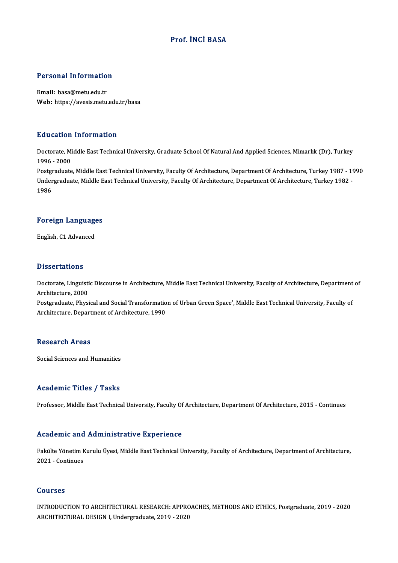## Prof. İNCİ BASA

### Personal Information

Email: basa@metu.edu.tr Web: https://avesis.metu.edu.tr/basa

### Education Information

E**ducation Information**<br>Doctorate, Middle East Technical University, Graduate School Of Natural And Applied Sciences, Mimarlık (Dr), Turkey<br>1996 - 2000 2<br>1996 - 2000<br>Restanduate Doctorate, Middle East Technical University, Graduate School Of Natural And Applied Sciences, Mimarlık (Dr), Turkey<br>1996 - 2000<br>Postgraduate, Middle East Technical University, Faculty Of Architecture, Department Of Archite

1996 - 2000<br>Postgraduate, Middle East Technical University, Faculty Of Architecture, Department Of Architecture, Turkey 1987 - 19<br>Undergraduate, Middle East Technical University, Faculty Of Architecture, Department Of Arch Postgi<br>Under<br>1986

# 1<sup>986</sup><br>Foreign Languages F<mark>oreign Languag</mark>e<br>English, C1 Advanced

English, C1 Advanced<br>Dissertations

Dissertations<br>Doctorate, Linguistic Discourse in Architecture, Middle East Technical University, Faculty of Architecture, Department of<br>Architecture, 2000 Broom carrons<br>Doctorate, Linguisti<br>Architecture, 2000<br>Postareduate, Physi Doctorate, Linguistic Discourse in Architecture, Middle East Technical University, Faculty of Architecture, Department<br>Architecture, 2000<br>Postgraduate, Physical and Social Transformation of Urban Green Space', Middle East

Architecture, 2000<br>Postgraduate, Physical and Social Transformatio<br>Architecture, Department of Architecture, 1990 Architecture, Department of Architecture, 1990<br>Research Areas

Social Sciences and Humanities

### Academic Titles / Tasks

Professor, Middle East Technical University, Faculty Of Architecture, Department Of Architecture, 2015 - Continues

### Academic and Administrative Experience

Academic and Administrative Experience<br>Fakülte Yönetim Kurulu Üyesi, Middle East Technical University, Faculty of Architecture, Department of Architecture,<br>2021 - Continues rectuentre une<br>Fakülte Yönetim F<br>2021 - Continues 2021 - Continues<br>Courses

Courses<br>INTRODUCTION TO ARCHITECTURAL RESEARCH: APPROACHES, METHODS AND ETHICS, Postgraduate, 2019 - 2020<br>ARCHITECTURAL DESIGN LUndergraduate, 2019, 2020 SSUITSSS<br>INTRODUCTION TO ARCHITECTURAL RESEARCH: APPRC<br>ARCHITECTURAL DESIGN I, Undergraduate, 2019 - 2020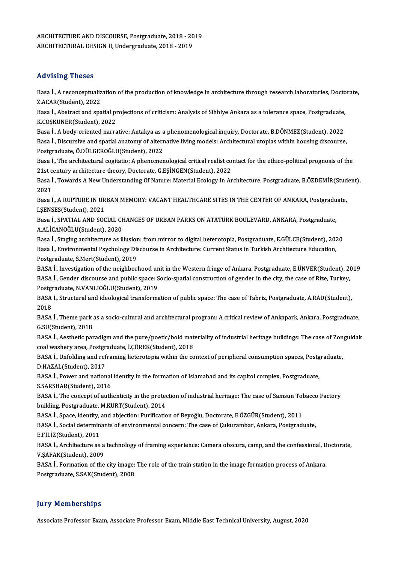ARCHITECTURE AND DISCOURSE, Postgraduate, 2018 - 2019<br>ARCHITECTURE AND DISCOURSE, Postgraduate, 2018 - 2019 ARCHITECTURE AND DISCOURSE, Postgraduate, 2018 - 20<br>ARCHITECTURAL DESIGN II, Undergraduate, 2018 - 2019 ARCHITECTURAL DESIGN II, Undergraduate, 2018 - 2019<br>Advising Theses

Advising Theses<br>Basa İ., A reconceptualization of the production of knowledge in architecture through research laboratories, Doctorate,<br>Z AGAR(Student), 2022 Exaveling Theses<br>Basa İ., A reconceptualiz<br>Z.ACAR(Student), 2022<br>Basa İ. Abstrast and spa Basa İ., A reconceptualization of the production of knowledge in architecture through research laboratories, Docto<br>Z.ACAR(Student), 2022<br>Basa İ., Abstract and spatial projections of criticism: Analysis of Sihhiye Ankara as

Z.ACAR(Student), 2022<br>Basa İ., Abstract and spatial pi<br>K.COŞKUNER(Student), 2022<br>Basa İ. A badu eriented narra Basa İ., Abstract and spatial projections of criticism: Analysis of Sihhiye Ankara as a tolerance space, Postgraduate,<br>K.COŞKUNER(Student), 2022<br>Basa İ., A body-oriented narrative: Antakya as a phenomenological inquiry, Do

K.CO\$KUNER(Student), 2022<br>Basa İ., A body-oriented narrative: Antakya as a phenomenological inquiry, Doctorate, B.DÖNMEZ(Student), 2022<br>Basa İ., Discursive and spatial anatomy of alternative living models: Architectural ut Basa İ., A body-oriented narrative: Antakya as a<br>Basa İ., Discursive and spatial anatomy of altern<br>Postgraduate, Ö.DÜLGEROĞLU(Student), 2022<br>Basa İ. The architectural sositatio: A phanomer Basa İ., Discursive and spatial anatomy of alternative living models: Architectural utopias within housing discourse,<br>Postgraduate, Ö.DÜLGEROĞLU(Student), 2022<br>Basa İ., The architectural cogitatio: A phenomenological criti

Postgraduate, Ö.DÜLGEROĞLU(Student), 2022<br>Basa İ., The architectural cogitatio: A phenomenological critical realist co<br>21st century architecture theory, Doctorate, G.EŞİNGEN(Student), 2022<br>Basa İ. Tayında A Navi Understand Basa İ., The architectural cogitatio: A phenomenological critical realist contact for the ethico-political prognosis of the<br>21st century architecture theory, Doctorate, G.EŞİNGEN(Student), 2022<br>Basa İ., Towards A New Under

21st century architecture theory, Doctorate, G.EŞİNGEN(Student), 2022<br>Basa İ., Towards A New Understanding Of Nature: Material Ecology In A<br>2021 Basa İ., Towards A New Understanding Of Nature: Material Ecology In Architecture, Postgraduate, B.ÖZDEMİR(Stud<br>2021<br>Basa İ., A RUPTURE IN URBAN MEMORY: VACANT HEALTHCARE SITES IN THE CENTER OF ANKARA, Postgraduate,<br>LEENSES

2021<br>Basa İ., A RUPTURE IN UR<br>I.ŞENSES(Student), 2021<br>Basa İ. SPATIAL AND SOC Basa İ., A RUPTURE IN URBAN MEMORY: VACANT HEALTHCARE SITES IN THE CENTER OF ANKARA, Postgradu<br>I.ŞENSES(Student), 2021<br>Basa İ., SPATIAL AND SOCIAL CHANGES OF URBAN PARKS ON ATATÜRK BOULEVARD, ANKARA, Postgraduate,<br>A ALİCAN

I.ŞENSES(Student), 2021<br>Basa İ., SPATIAL AND SOCIAL CH<br>A.ALİCANOĞLU(Student), 2020<br>Basa İ. Stasins architecture as il Basa İ., SPATIAL AND SOCIAL CHANGES OF URBAN PARKS ON ATATÜRK BOULEVARD, ANKARA, Postgraduate,<br>A.ALİCANOĞLU(Student), 2020<br>Basa İ., Staging architecture as illusion: from mirror to digital heterotopia, Postgraduate, E.GÜLC

A.ALİCANOĞLU(Student), 2020<br>Basa İ., Staging architecture as illusion: from mirror to digital heterotopia, Postgraduate, E.GÜLCE(Student), 201<br>Basa İ., Environmental Psychology Discourse in Architecture: Current Status in Basa İ., Staging architecture as illusion<br>Basa İ., Environmental Psychology Dis<br>Postgraduate, S.Mert(Student), 2019<br>PASA İ. Investigation of the peighbor Basa İ., Environmental Psychology Discourse in Architecture: Current Status in Turkish Architecture Education,<br>Postgraduate, S.Mert(Student), 2019<br>BASA İ., Investigation of the neighborhood unit in the Western fringe of An

Postgraduate, S.Mert(Student), 2019<br>BASA İ., Investigation of the neighborhood unit in the Western fringe of Ankara, Postgraduate, E.ÜNVER(Student), 2<br>BASA İ., Gender discourse and public space: Socio-spatial construction BASA İ., Investigation of the neighborhood un<br>BASA İ., Gender discourse and public space: S<br>Postgraduate, N.VANLIOĞLU(Student), 2019<br>BASA İ. Strugtural and ideologisal transforma BASA İ., Gender discourse and public space: Socio-spatial construction of gender in the city, the case of Rize, Turkey,<br>Postgraduate, N.VANLIOĞLU(Student), 2019<br>BASA İ., Structural and ideological transformation of public

Postgi<br>BASA<br>2018<br>PASA BASA İ., Structural and ideological transformation of public space: The case of Tabriz, Postgraduate, A.RAD(Student),<br>2018<br>BASA İ., Theme park as a socio-cultural and architectural program: A critical review of Ankapark, A

2018<br>BASA İ., Theme park :<br>G.SU(Student), 2018<br>BASA İ. Acethatia par BASA İ., Theme park as a socio-cultural and architectural program: A critical review of Ankapark, Ankara, Postgraduate,<br>G.SU(Student), 2018<br>BASA İ., Aesthetic paradigm and the pure/poetic/bold materiality of industrial her

G.SU(Student), 2018<br>BASA İ., Aesthetic paradigm and the pure/poetic/bold mat<br>coal washery area, Postgraduate, İ.ÇÖREK(Student), 2018<br>BASA İ. Unfolding and noframing betenetenia ujthin the 99 BASA İ., Aesthetic paradigm and the pure/poetic/bold materiality of industrial heritage buildings: The case of Zon<br>coal washery area, Postgraduate, İ.ÇÖREK(Student), 2018<br>BASA İ., Unfolding and reframing heterotopia within

coal washery area, Postgraduate, İ.ÇÖREK(Student), 2018<br>BASA İ., Unfolding and reframing heterotopia within the context of peripheral consumption spaces, Postgraduate,<br>D.HAZAL(Student), 2017 BASA İ., Unfolding and reframing heterotopia within the context of peripheral consumption spaces, Postg<br>D.HAZAL(Student), 2017<br>BASA İ., Power and national identity in the formation of Islamabad and its capitol complex, Pos

**D.HAZAL(Student), 2017<br>BASA İ., Power and national<br>S.SARSHAR(Student), 2016<br>BASA İ. The sensent of suth** 

BASA İ., Power and national identity in the formation of Islamabad and its capitol complex, Postgraduate,<br>S.SARSHAR(Student), 2016<br>BASA İ., The concept of authenticity in the protection of industrial heritage: The case of S.SARSHAR(Student), 2016<br>BASA İ., The concept of authenticity in the protection of industrial heritage: The case of Samsun To<br>building, Postgraduate, M.KURT(Student), 2014<br>BASA İ., Space, identity, and abjection: Purificat BASA İ., The concept of authenticity in the protection of industrial heritage: The case of Samsun Tol<br>building, Postgraduate, M.KURT(Student), 2014<br>BASA İ., Space, identity, and abjection: Purification of Beyoğlu, Doctorat

building, Postgraduate, M.KURT(Student), 2014<br>BASA İ., Space, identity, and abjection: Purification of Beyoğlu, Doctorate, E.ÖZGÜR(Student), 2011<br>BASA İ., Social determinants of environmental concern: The case of Çukuramba BASA İ., Space, identity,<br>BASA İ., Social determin<br>E.FİLİZ(Student), 2011<br>BASA İ. Arshitesture as BASA İ., Social determinants of environmental concern: The case of Çukurambar, Ankara, Postgraduate,<br>E.FİLİZ(Student), 2011<br>BASA İ., Architecture as a technology of framing experience: Camera obscura, camp, and the confess

E.FİLİZ(Student), 2011<br>BASA İ., Architecture as a<br>V.ŞAFAK(Student), 2009<br>BASA İ. Formation of the BASA İ., Architecture as a technology of framing experience: Camera obscura, camp, and the confessional, D<br>V.ŞAFAK(Student), 2009<br>BASA İ., Formation of the city image: The role of the train station in the image formation p

V.ŞAFAK(Student), 2009<br>BASA İ., Formation of the city image: The role of the train station in the image formation process of Ankara,<br>Postgraduate, S.SAK(Student), 2008

## **Jury Memberships**

Associate Professor Exam, Associate Professor Exam, Middle East Technical University, August, 2020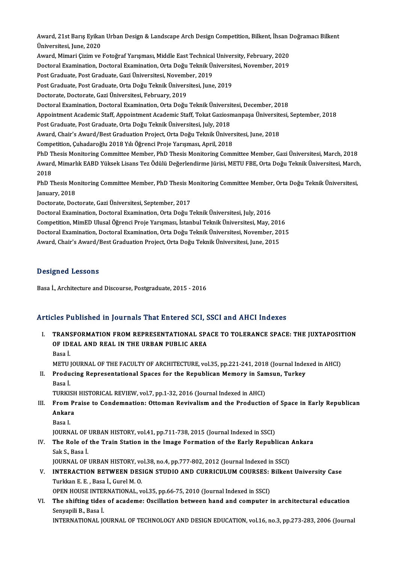Award, 21st Barış Eyikan Urban Design & Landscape Arch Design Competition, Bilkent, İhsan Doğramacı Bilkent<br>Ühiversitesi June 2020 Award, 21st Barış Eyikaı<br>Üniversitesi, June, 2020<br>Aunud Mimari Cirim ve Award, 21st Barış Eyikan Urban Design & Landscape Arch Design Competition, Bilkent, İhsan I<br>Üniversitesi, June, 2020<br>Award, Mimari Çizim ve Fotoğraf Yarışması, Middle East Technical University, February, 2020<br>Destaral Evam Üniversitesi, June, 2020<br>Award, Mimari Çizim ve Fotoğraf Yarışması, Middle East Technical University, February, 2020<br>Doctoral Examination, Doctoral Examination, Orta Doğu Teknik Üniversitesi, November, 2019<br>Pest Cradusta P Award, Mimari Çizim ve Fotoğraf Yarışması, Middle East Technical<br>Doctoral Examination, Doctoral Examination, Orta Doğu Teknik Ün<br>Post Graduate, Post Graduate, Gazi Üniversitesi, November, 2019<br>Post Craduate, Post Craduate, Doctoral Examination, Doctoral Examination, Orta Doğu Teknik Üniversit<br>Post Graduate, Post Graduate, Gazi Üniversitesi, November, 2019<br>Post Graduate, Post Graduate, Orta Doğu Teknik Üniversitesi, June, 2019<br>Postorate, Dost Post Graduate, Post Graduate, Gazi Üniversitesi, November, 2019<br>Post Graduate, Post Graduate, Orta Doğu Teknik Üniversitesi, June, 2019<br>Doctorate, Doctorate, Gazi Üniversitesi, February, 2019 DoctoralExamination,DoctoralExamination,OrtaDoğuTeknikÜniversitesi,December,2018 Doctorate, Doctorate, Gazi Üniversitesi, February, 2019<br>Doctoral Examination, Doctoral Examination, Orta Doğu Teknik Üniversitesi, December, 2018<br>Appointment Academic Staff, Appointment Academic Staff, Tokat Gaziosmanpaşa Doctoral Examination, Doctoral Examination, Orta Doğu Teknik Üniversi<br>Appointment Academic Staff, Appointment Academic Staff, Tokat Gaziosr<br>Post Graduate, Post Graduate, Orta Doğu Teknik Üniversitesi, July, 2018<br>August Cha Appointment Academic Staff, Appointment Academic Staff, Tokat Gaziosmanpaşa Üniversite<br>Post Graduate, Post Graduate, Orta Doğu Teknik Üniversitesi, July, 2018<br>Award, Chair's Award/Best Graduation Project, Orta Doğu Teknik Post Graduate, Post Graduate, Orta Doğu Teknik Üniversitesi, July, 2018<br>Award, Chair's Award/Best Graduation Project, Orta Doğu Teknik Üniversitesi, June, 2018<br>Competition, Cuhadaroğlu 2018 Yılı Öğrenci Proje Yarışması, Ap PhD Thesis Monitoring Committee Member, PhD Thesis Monitoring Committee Member, Gazi Üniversitesi, March, 2018 Competition, Çuhadaroğlu 2018 Yılı Öğrenci Proje Yarışması, April, 2018<br>PhD Thesis Monitoring Committee Member, PhD Thesis Monitoring Committee Member, Gazi Üniversitesi, March, 2018<br>Award, Mimarlık EABD Yüksek Lisans Tez PhD T<br>Award<br>2018<br>PhD T Award, Mimarlık EABD Yüksek Lisans Tez Ödülü Değerlendirme Jürisi, METU FBE, Orta Doğu Teknik Üniversitesi, March<br>2018<br>PhD Thesis Monitoring Committee Member, PhD Thesis Monitoring Committee Member, Orta Doğu Teknik Üniver 2018<br>PhD Thesis Mo<br>January, 2018<br>Destarste Des PhD Thesis Monitoring Committee Member, PhD Thesis M<br>January, 2018<br>Doctorate, Doctorate, Gazi Üniversitesi, September, 2017<br>Doctoral Examination, Doctoral Examination, Orta Doču T January, 2018<br>Doctorate, Doctorate, Gazi Üniversitesi, September, 2017<br>Doctoral Examination, Doctoral Examination, Orta Doğu Teknik Üniversitesi, July, 2016 Doctorate, Doctorate, Gazi Üniversitesi, September, 2017<br>Doctoral Examination, Doctoral Examination, Orta Doğu Teknik Üniversitesi, July, 2016<br>Competition, MimED Ulusal Öğrenci Proje Yarışması, İstanbul Teknik Üniversitesi Doctoral Examination, Doctoral Examination, Orta Doğu Teknik Üniversitesi, July, 2016<br>Competition, MimED Ulusal Öğrenci Proje Yarışması, İstanbul Teknik Üniversitesi, May, 2016<br>Doctoral Examination, Doctoral Examination, O Competition, MimED Ulusal Öğrenci Proje Yarışması, İstanbul Teknik Üniversitesi, May, 201<br>Doctoral Examination, Doctoral Examination, Orta Doğu Teknik Üniversitesi, November, 20<br>Award, Chair's Award/Best Graduation Project

Award, Chair's Award/Best Graduation Project, Orta Doğu Teknik Üniversitesi, June, 2015<br>Designed Lessons

Basa İ., Architecture and Discourse, Postgraduate, 2015 - 2016

## Articles Published in Journals That Entered SCI, SSCI and AHCI Indexes

rticles Published in Journals That Entered SCI, SSCI and AHCI Indexes<br>I. TRANSFORMATION FROM REPRESENTATIONAL SPACE TO TOLERANCE SPACE: THE JUXTAPOSITION TRANSFORMATION FROM REPRESENTATIONAL SPACE IN THE URBAN PUBLIC AREA<br>OF IDEAL AND REAL IN THE URBAN PUBLIC AREA TRANS<br>OF IDI<br>Basa İ. OF IDEAL AND REAL IN THE URBAN PUBLIC AREA<br>Basa İ.<br>METU JOURNAL OF THE FACULTY OF ARCHITECTURE, vol.35, pp.221-241, 2018 (Journal Indexed in AHCI)

Basa İ.<br>METU JOURNAL OF THE FACULTY OF ARCHITECTURE, vol.35, pp.221-241, 2018 (Journal Inde:<br>II. Producing Representational Spaces for the Republican Memory in Samsun, Turkey<br>Rese İ METU J<br><mark>Produ</mark><br>Basa İ.<br>TURKI Producing Representational Spaces for the Republican Memory in San<br>Basa İ.<br>TURKISH HISTORICAL REVIEW, vol.7, pp.1-32, 2016 (Journal Indexed in AHCI)<br>From Praise to Condomnation: Ottoman Boujualism and the Production

# Basa İ.<br>TURKISH HISTORICAL REVIEW, vol.7, pp.1-32, 2016 (Journal Indexed in AHCI)<br>III. From Praise to Condemnation: Ottoman Revivalism and the Production of Space in Early Republican<br>Ankare TURKISH HISTORICAL REVIEW, vol.7, pp.1-32, 2016 (Journal Indexed in AHCI)<br>From Praise to Condemnation: Ottoman Revivalism and the Productio<br>Ankara<br>Basa I. From<br>An<mark>kar</mark><br>Basa I.<br>IOUPN

JOURNAL OF URBAN HISTORY, vol.41, pp.711-738, 2015 (Journal Indexed in SSCI)

# Basa I.<br>JOURNAL OF URBAN HISTORY, vol.41, pp.711-738, 2015 (Journal Indexed in SSCI)<br>IV. The Role of the Train Station in the Image Formation of the Early Republican Ankara<br>Sek S. Pess I **JOURNAL OF<br>The Role of<br>Sak S., Basa İ.**<br>JOUPNAL OF The Role of the Train Station in the Image Formation of the Early Republican<br>Sak S., Basa İ.<br>JOURNAL OF URBAN HISTORY, vol.38, no.4, pp.777-802, 2012 (Journal Indexed in SSCI)<br>INTERACTION RETWEEN DESICN STUDIO AND CURRICUL

# Sak S., Basa İ.<br>JOURNAL OF URBAN HISTORY, vol.38, no.4, pp.777-802, 2012 (Journal Indexed in SSCI)<br>V. INTERACTION BETWEEN DESIGN STUDIO AND CURRICULUM COURSES: Bilkent University Case<br>Turkkan E.E., Basa İ. Curel M. O. **JOURNAL OF URBAN HISTORY, vc**<br>I<mark>NTERACTION BETWEEN DES</mark><br>Turkkan E. E. , Basa İ., Gurel M. O.<br>OPEN HOUSE INTERNATIONAL INTERACTION BETWEEN DESIGN STUDIO AND CURRICULUM COURSES:<br>Turkkan E. E. , Basa İ., Gurel M. O.<br>OPEN HOUSE INTERNATIONAL, vol.35, pp.66-75, 2010 (Journal Indexed in SSCI)<br>The shifting tides of asadema: Oscillation between h

Turkkan E. E. , Basa İ., Gurel M. O.<br>OPEN HOUSE INTERNATIONAL, vol.35, pp.66-75, 2010 (Journal Indexed in SSCI)<br>VI. The shifting tides of academe: Oscillation between hand and computer in architectural education<br>Senvanili OPEN HOUSE INTER<br>The shifting tides<br>Senyapili B., Basa İ.<br>INTERNATIONAL IC Senyapili B., Basa İ.<br>INTERNATIONAL JOURNAL OF TECHNOLOGY AND DESIGN EDUCATION, vol.16, no.3, pp.273-283, 2006 (Journal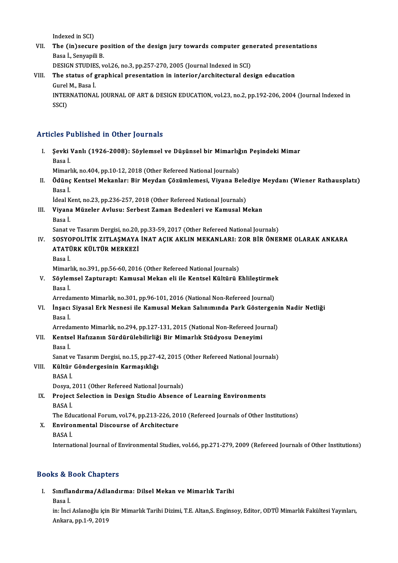Indexed in SCI)

Indexed in SCI)<br>VII. The (in)secure position of the design jury towards computer generated presentations<br>Rese J. Senvaniji P. Indexed in SCI)<br>The (in)secure p<br>Basa İ., Senyapili B.<br>DESION STUDIES... The (in)secure position of the design jury towards computer gen<br>Basa İ., Senyapili B.<br>DESIGN STUDIES, vol.26, no.3, pp.257-270, 2005 (Journal Indexed in SCI)<br>The status of graphical presentation in interior (architectural

DESIGN STUDIES, vol.26, no.3, pp.257-270, 2005 (Journal Indexed in SCI)

Basa İ., Senyapili B.<br>DESIGN STUDIES, vol.26, no.3, pp.257-270, 2005 (Journal Indexed in SCI)<br>VIII. The status of graphical presentation in interior/architectural design education<br>Gurel M., Basa İ. The status of graphical presentation in interior/architectural design education<br>Gurel M., Basa İ.<br>INTERNATIONAL JOURNAL OF ART & DESIGN EDUCATION, vol.23, no.2, pp.192-206, 2004 (Journal Indexed in<br>SSCD Gurel<br>INTEF<br>SSCI)

# Articles Published in Other Journals

rticles Published in Other Journals<br>I. Şevki Vanlı (1926-2008): Söylemsel ve Düşünsel bir Mimarlığın Peşindeki Mimar<br>Rasa İ sico<br>1<br>Basa İ.<br>Mimorl Şevki Vanlı (1926-2008): Söylemsel ve Düşünsel bir Mimarlığ<br>Basa İ.<br>Mimarlık, no.404, pp.10-12, 2018 (Other Refereed National Journals)<br>Ödüne Kantael Mekanları Bir Meydan Cözümlemesi, Viyana Be

Mimarlık, no 404, pp.10-12, 2018 (Other Refereed National Journals)

Basa İ.<br>Mimarlık, no.404, pp.10-12, 2018 (Other Refereed National Journals)<br>II. Ödünç Kentsel Mekanlar: Bir Meydan Çözümlemesi, Viyana Belediye Meydanı (Wiener Rathausplatz)<br>Basa İ. Ödünç Kentsel Mekanlar: Bir Meydan Çözümlemesi, Viyana Bele<br>Basa İ.<br>İdeal Kent, no.23, pp.236-257, 2018 (Other Refereed National Journals)<br>Viyana Müralar Arluau: Sarbeet Zaman Badanlari ve Kamusal M

III. Viyana Müzeler Avlusu: Serbest Zaman Bedenleri ve Kamusal Mekan<br>Basa İ. İdeal K<br>Viyana<br>Basa İ.

Sanat ve Tasarım Dergisi, no.20, pp.33-59, 2017 (Other Refereed National Journals)

- IV. SOSYOPOLİTİK ZITLAŞMAYA İNAT AÇIK AKLIN MEKANLARI: ZOR BİR ÖNERME OLARAK ANKARA Sanat ve Tasarım Dergisi, no.20,<br>SOSYOPOLİTİK ZITLAŞMAYA<br>ATATÜRK KÜLTÜR MERKEZİ<br>Pasa İ SOSYO<br>ATAT<mark>İ</mark><br>Basa İ.<br>Mimarl
	-

Basa İ.<br>Mimarlık, no.391, pp.56-60, 2016 (Other Refereed National Journals)

Basa İ.<br>Mimarlık, no.391, pp.56-60, 2016 (Other Refereed National Journals)<br>V. Söylemsel Zapturapt: Kamusal Mekan eli ile Kentsel Kültürü Ehlileştirmek<br>Resa İ Mimarl<br>Söyler<br>Basa İ. Söylemsel Zapturapt: Kamusal Mekan eli ile Kentsel Kültürü Ehlileştirmel<br>Basa İ.<br>Arredamento Mimarlık, no.301, pp.96-101, 2016 (National Non-Refereed Journal)<br>İnsası Siyasal Erk Noanosi ile Kamusal Makan Salınımında Bark G

Basa İ.<br>Arredamento Mimarlık, no.301, pp.96-101, 2016 (National Non-Refereed Journal)<br>VI. İnşacı Siyasal Erk Nesnesi ile Kamusal Mekan Salınımında Park Göstergenin Nadir Netliği<br>Rasa İ Arreda<br>**İnşacı**<br>Basa İ. İnşacı Siyasal Erk Nesnesi ile Kamusal Mekan Salınımında Park Göstergeni<br>Basa İ.<br>Arredamento Mimarlık, no.294, pp.127-131, 2015 (National Non-Refereed Journal)<br>Kantaal Hafızanın Sündünülebilirliği Bir Mimarlık Stüdyeau Den

Arredamento Mimarlık, no.294, pp.127-131, 2015 (National Non-Refereed Journal)

Basa İ.<br>Arredamento Mimarlık, no.294, pp.127-131, 2015 (National Non-Refereed Jou<br>VII. Kentsel Hafızanın Sürdürülebilirliği Bir Mimarlık Stüdyosu Deneyimi<br>Basa İ. Kentsel Hafızanın Sürdürülebilirliği Bir Mimarlık Stüdyosu Deneyimi<br>Basa İ.<br>Sanat ve Tasarım Dergisi, no.15, pp.27-42, 2015 (Other Refereed National Journals)<br>Kültür Göndergesinin Kermasıklığı

VIII. Kültür Göndergesinin Karmaşıklığı<br>BASA İ. Sanat v<br>**Kültür**<br>BASA İ.

Dosya, 2011 (Other Refereed National Journals)

BASA İ.<br>Dosya, 2011 (Other Refereed National Journals)<br>IX. Project Selection in Design Studio Absence of Learning Environments<br>RASA İ Dosya, <mark>:</mark><br>Project<br>BASA İ.<br>The Edr Project Selection in Design Studio Absence of Learning Environments<br>BASA İ.<br>The Educational Forum, vol.74, pp.213-226, 2010 (Refereed Journals of Other Institutions)<br>Environmental Disseurse of Architecture

# BASA İ.<br>The Educational Forum, vol.74, pp.213-226, 20<br>X. Environmental Discourse of Architecture<br>BASA İ. The Edu<br>**Enviro**<br>BASA İ.

International Journal of Environmental Studies, vol.66, pp.271-279, 2009 (Refereed Journals of Other Institutions)

## Books&Book Chapters

- ooks & Book Chapters<br>I. Sınıflandırma/Adlandırma: Dilsel Mekan ve Mimarlık Tarihi<br>Rasa İ s<br>Sınıfla<br>Basa İ.
	-

Sınıflandırma/Adlandırma: Dilsel Mekan ve Mimarlık Tarihi<br>Basa İ.<br>in: İnci Aslanoğlu için Bir Mimarlık Tarihi Dizimi, T.E. Altan,S. Enginsoy, Editor, ODTÜ Mimarlık Fakültesi Yayınları,<br>Ankara, pp.1-9, 2019 Basa İ.<br>in: İnci Aslanoğlu için<br>Ankara, pp.1-9, 2019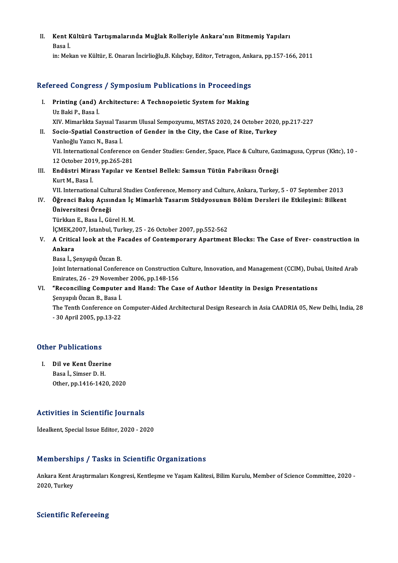II. Kent Kültürü Tartışmalarında Muğlak Rolleriyle Ankara'nın Bitmemiş Yapıları<br>Resaj Kent K<br>Basa İ.<br>in: Mel

Basa İ.<br>in: Mekan ve Kültür, E. Onaran İncirlioğlu,B. Kılıçbay, Editor, Tetragon, Ankara, pp.157-166, 2011

# m: мекап ve Kultur, E. Onaran Incirliogiu,B. Kiliçbay, Editor, Tetragon, Ank<br>Refereed Congress / Symposium Publications in Proceedings

- efereed Congress / Symposium Publications in Proceedings<br>I. Printing (and) Architecture: A Technopoietic System for Making<br>Lig Poli P. Pess i I. Printing (and) Architecture: A Technopoietic System for Making<br>Uz Baki P., Basa İ. XIV.Mimarlıkta SayısalTasarımUlusalSempozyumu,MSTAS2020,24October 2020,pp.217-227 Uz Baki P., Basa İ.<br>XIV. Mimarlıkta Sayısal Tasarım Ulusal Sempozyumu, MSTAS 2020, 24 October 2020<br>II. Socio-Spatial Construction of Gender in the City, the Case of Rize, Turkey<br>Vanluğlu Yarısı N. Basa İ.
- XIV. Mimarlıkta Sayısal Tas<br>Socio-Spatial Construct<br>Vanlıoğlu Yazıcı N., Basa İ.<br>VII. International Conferer Socio-Spatial Construction of Gender in the City, the Case of Rize, Turkey<br>Vanlıoğlu Yazıcı N., Basa İ.<br>VII. International Conference on Gender Studies: Gender, Space, Place & Culture, Gazimagusa, Cyprus (Kktc), 10<br>12 Oste Vanlıoğlu Yazıcı N., Basa İ.<br>VII. International Conference c<br>12 October 2019, pp.265-281<br>Endüstri Mirosı Yapılar ve 12 October 2019, pp 265-281
- III. Endüstri Mirası Yapılar ve Kentsel Bellek: Samsun Tütün Fabrikası Örneği<br>Kurt M. Basa İ.

VII. International Cultural Studies Conference, Memory and Culture, Ankara, Turkey, 5 - 07 September 2013

- Kurt M., Basa İ.<br>1012. VII. İnternational Cultural Studies Conference, Memory and Culture, Ankara, Turkey, 5 07 September<br>11. Öğrenci Bakış Açısından İç Mimarlık Tasarım Stüdyosunun Bölüm Dersleri ile Etkileşimi: Bilkent VII. International Cultu<br>Öğrenci Bakış Açısıı<br>Üniversitesi Örneği Öğrenci Bakış Açısından İç<br>Üniversitesi Örneği<br>Türkkan E., Basa İ., Gürel H. M.<br>İCMEK 2007, İstanbul Turkey Üniversitesi Örneği<br>Türkkan E., Basa İ., Gürel H. M.<br>İÇMEK,2007, İstanbul, Turkey, 25 - 26 October 2007, pp.552-562<br>A. Critical laek at the Easades of Contemperary Apertmeni
	-

Türkkan E., Basa İ., Gürel H. M.<br>İÇMEK,2007, İstanbul, Turkey, 25 - 26 October 2007, pp.552-562<br>V. A Critical look at the Facades of Contemporary Apartment Blocks: The Case of Ever- construction in<br>Ankara İÇMEK,2<br>A Critic:<br>Ankara A Critical look at the F:<br>Ankara<br>Basa İ., Şenyapılı Özcan B.<br>Joint International Confor

Ankara<br>Basa İ., Şenyapılı Özcan B.<br>Joint International Conference on Construction Culture, Innovation, and Management (CCIM), Dubai, United Arab Emirates,26 -29November 2006,pp.148-156 Joint International Conference on Construction Culture, Innovation, and Management (CCIM), Duba<br>Emirates, 26 - 29 November 2006, pp.148-156<br>VI. "Reconciling Computer and Hand: The Case of Author Identity in Design Presenta

# Emirates, 26 - 29 Novemb<br>**"Reconciling Computer**<br>Şenyapılı Özcan B., Basa İ.<br>The Tonth Conference on

Şenyapılı Özcan B., Basa İ.<br>The Tenth Conference on Computer-Aided Architectural Design Research in Asia CAADRIA 05, New Delhi, India, 28 -30April2005,pp.13-22

# - 30 April 2005, pp<br>Other Publications

**Ther Publications<br>
I. Dil ve Kent Üzerine**<br>
Pasa I. Simsar D. H I. Dil ve Kent Üzerine<br>Basa İ., Simser D. H. Other,pp.1416-1420,2020

# Activities in Scientific Journals **Activities in Scientific Journals<br>İdealkent, Special Issue Editor, 2020 - 2020**

# idealkent, Special Issue Editor, 2020 - 2020<br>Memberships / Tasks in Scientific Organizations

Memberships / Tasks in Scientific Organizations<br>Ankara Kent Araştırmaları Kongresi, Kentleşme ve Yaşam Kalitesi, Bilim Kurulu, Member of Science Committee, 2020 -<br>2020 Turkey 2020, Turkey<br>2020, Turkey

# 2020, Turkey<br>Scientific Refereeing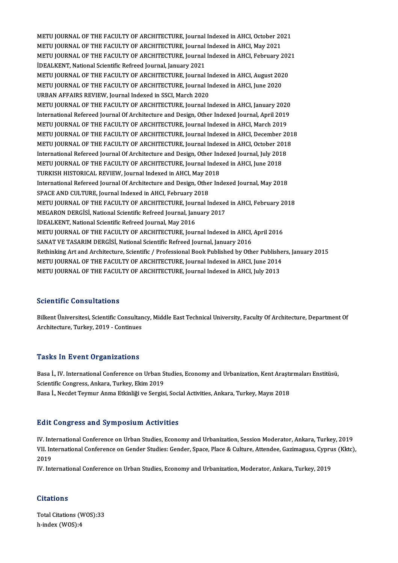METU JOURNAL OF THE FACULTY OF ARCHITECTURE, Journal Indexed in AHCI, October 2021<br>METU JOURNAL OF THE FACULTY OF ARCHITECTURE, Journal Indexed in AHCI, October 2021 METU JOURNAL OF THE FACULTY OF ARCHITECTURE, Journal Indexed in AHCI, October 20<br>METU JOURNAL OF THE FACULTY OF ARCHITECTURE, Journal Indexed in AHCI, May 2021<br>METU JOURNAL OF THE FACULTY OF ARCHITECTURE, Journal Indexed i METU JOURNAL OF THE FACULTY OF ARCHITECTURE, Journal Indexed in AHCI, October 2021<br>METU JOURNAL OF THE FACULTY OF ARCHITECTURE, Journal Indexed in AHCI, May 2021<br>METU JOURNAL OF THE FACULTY OF ARCHITECTURE, Journal Indexed METU JOURNAL OF THE FACULTY OF ARCHITECTURE, Journal Indexed in AHCI, May 2021<br>METU JOURNAL OF THE FACULTY OF ARCHITECTURE, Journal Indexed in AHCI, February<br>İDEALKENT, National Scientific Refreed Journal, January 2021 METU JOURNAL OF THE FACULTY OF ARCHITECTURE, Journal Indexed in AHCI, February 202<br>İDEALKENT, National Scientific Refreed Journal, January 2021<br>METU JOURNAL OF THE FACULTY OF ARCHITECTURE, Journal Indexed in AHCI, August 2 iDEALKENT, National Scientific Refreed Journal, January 2021<br>METU JOURNAL OF THE FACULTY OF ARCHITECTURE, Journal Indexed in AHCI, August 202<br>METU JOURNAL OF THE FACULTY OF ARCHITECTURE, Journal Indexed in AHCI, June 2020<br> METU JOURNAL OF THE FACULTY OF ARCHITECTURE, Journal In<br>METU JOURNAL OF THE FACULTY OF ARCHITECTURE, Journal In<br>URBAN AFFAIRS REVIEW, Journal Indexed in SSCI, March 2020<br>METU JOURNAL OF THE FACULTY OF ARCHITECTURE Journal METU JOURNAL OF THE FACULTY OF ARCHITECTURE, Journal Indexed in AHCI, June 2020<br>URBAN AFFAIRS REVIEW, Journal Indexed in SSCI, March 2020<br>METU JOURNAL OF THE FACULTY OF ARCHITECTURE, Journal Indexed in AHCI, January 2020<br>I METU JOURNAL OF THE FACULTY OF ARCHITECTURE, Journal Indexed in AHCI, January 2020 METU JOURNAL OF THE FACULTY OF ARCHITECTURE, Journal Indexed in AHCI, March 2019 International Refereed Journal Of Architecture and Design, Other Indexed Journal, April 2019<br>METU JOURNAL OF THE FACULTY OF ARCHITECTURE, Journal Indexed in AHCI, March 2019<br>METU JOURNAL OF THE FACULTY OF ARCHITECTURE, Jou METU JOURNAL OF THE FACULTY OF ARCHITECTURE, Journal Indexed in AHCI, March 2019<br>METU JOURNAL OF THE FACULTY OF ARCHITECTURE, Journal Indexed in AHCI, December 201<br>METU JOURNAL OF THE FACULTY OF ARCHITECTURE, Journal Index METU JOURNAL OF THE FACULTY OF ARCHITECTURE, Journal Indexed in AHCI, December 20<br>METU JOURNAL OF THE FACULTY OF ARCHITECTURE, Journal Indexed in AHCI, October 2011<br>International Refereed Journal Of Architecture and Design METU JOURNAL OF THE FACULTY OF ARCHITECTURE, Journal Indexed in AHCI, October 20<br>International Refereed Journal Of Architecture and Design, Other Indexed Journal, July 2018<br>METU JOURNAL OF THE FACULTY OF ARCHITECTURE, Jour International Refereed Journal Of Architecture and Design, Other Inc<br>METU JOURNAL OF THE FACULTY OF ARCHITECTURE, Journal Index<br>TURKISH HISTORICAL REVIEW, Journal Indexed in AHCI, May 2018<br>International Refereed Journal Of METU JOURNAL OF THE FACULTY OF ARCHITECTURE, Journal Indexed in AHCI, June 2018<br>TURKISH HISTORICAL REVIEW, Journal Indexed in AHCI, May 2018<br>International Refereed Journal Of Architecture and Design, Other Indexed Journal, TURKISH HISTORICAL REVIEW, Journal Indexed in AHCI, May 2018<br>International Refereed Journal Of Architecture and Design, Other Indexed Journal, May 2018<br>SPACE AND CULTURE, Journal Indexed in AHCI, February 2018 International Refereed Journal Of Architecture and Design, Other Indexed Journal, May 2018<br>SPACE AND CULTURE, Journal Indexed in AHCI, February 2018<br>METU JOURNAL OF THE FACULTY OF ARCHITECTURE, Journal Indexed in AHCI, Feb SPACE AND CULTURE, Journal Indexed in AHCI, February 2018<br>METU JOURNAL OF THE FACULTY OF ARCHITECTURE, Journal Indexed<br>MEGARON DERGISI, National Scientific Refreed Journal, January 2017<br>IDEALKENT, National Scientific Pefre MEGARON DERGISI, National Scientific Refreed Journal, January 2017<br>İDEALKENT, National Scientific Refreed Journal, May 2016 MEGARON DERGİSİ, National Scientific Refreed Journal, January 2017<br>İDEALKENT, National Scientific Refreed Journal, May 2016<br>METU JOURNAL OF THE FACULTY OF ARCHITECTURE, Journal Indexed in AHCI, April 2016<br>SANAT VE TASARIM IDEALKENT, National Scientific Refreed Journal, May 2016<br>METU JOURNAL OF THE FACULTY OF ARCHITECTURE, Journal Indexed in AHCI,<br>SANAT VE TASARIM DERGISI, National Scientific (efreed Journal, January 2016<br>Pethinking Art and METU JOURNAL OF THE FACULTY OF ARCHITECTURE, Journal Indexed in AHCI, April 2016<br>SANAT VE TASARIM DERGISI, National Scientific Refreed Journal, January 2016<br>Rethinking Art and Architecture, Scientific / Professional Book P SANAT VE TASARIM DERGISI, National Scientific Refreed Journal, January 2016<br>Rethinking Art and Architecture, Scientific / Professional Book Published by Other Publishe<br>METU JOURNAL OF THE FACULTY OF ARCHITECTURE, Journal I Rethinking Art and Architecture, Scientific / Professional Book Published by Other Publish<br>METU JOURNAL OF THE FACULTY OF ARCHITECTURE, Journal Indexed in AHCI, June 2014<br>METU JOURNAL OF THE FACULTY OF ARCHITECTURE, Journa METU JOURNAL OF THE FACULTY OF ARCHITECTURE, Journal Indexed in AHCI, July 2013<br>Scientific Consultations

Scientific Consultations<br>Bilkent Üniversitesi, Scientific Consultancy, Middle East Technical University, Faculty Of Architecture, Department Of<br>Architecture, Turkey, 2019, Continues Bilkent Üniversitesi, Scientific Consultan<br>Architecture, Turkey, 2019 - Continues Architecture, Turkey, 2019 - Continues<br>Tasks In Event Organizations

Tasks In Event Organizations<br>Basa İ., IV. International Conference on Urban Studies, Economy and Urbanization, Kent Araştırmaları Enstitüsü,<br>Scientific Congress, Ankara, Turkey, Ekim 2019 Scientific Congress, Ankara, Turkey, Ekim 2019<br>Basa İ., Necdet Teymur Anma Etkinliği ve Sergisi, Social Activities, Ankara, Turkey, Mayıs 2018 Basa İ., IV. International Conference on Urban Studies, Economy and Urbanization, Kent Araştı<br>Scientific Congress, Ankara, Turkey, Ekim 2019<br>Basa İ., Necdet Teymur Anma Etkinliği ve Sergisi, Social Activities, Ankara, Turk

### **Edit Congress and Symposium Activities**

IV. International Conference on Urban Studies, Economy and Urbanization, Session Moderator, Ankara, Turkey, 2019 Bare Gorigi cas and by mposium ricervicies<br>IV. International Conference on Urban Studies, Economy and Urbanization, Session Moderator, Ankara, Turkey, 2019<br>VII. International Conference on Gender Studies: Gender, Space, Pl IV Int<br>VII In<br>2019<br>IV Int VII. International Conference on Gender Studies: Gender, Space, Place & Culture, Attendee, Gazimagusa, Cypru<br>2019<br>IV. International Conference on Urban Studies, Economy and Urbanization, Moderator, Ankara, Turkey, 2019

IV. International Conference on Urban Studies, Economy and Urbanization, Moderator, Ankara, Turkey, 2019<br>Citations

Citations<br>Total Citations (WOS):33<br>h index (WOS):4 h-index (WOS):4